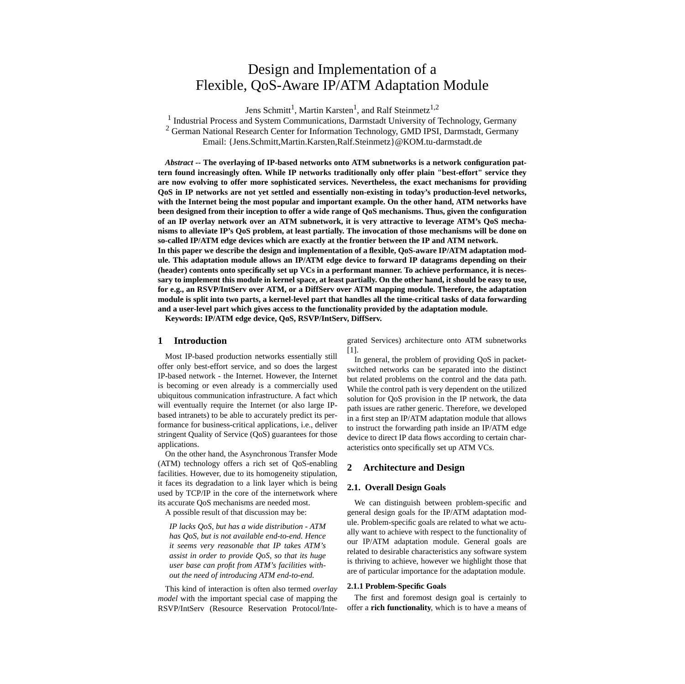# Design and Implementation of a Flexible, QoS-Aware IP/ATM Adaptation Module

Jens Schmitt<sup>1</sup>, Martin Karsten<sup>1</sup>, and Ralf Steinmetz<sup>1,2</sup>

<sup>1</sup> Industrial Process and System Communications, Darmstadt University of Technology, Germany <sup>2</sup> German National Research Center for Information Technology, GMD IPSI, Darmstadt, Germany

Email: {Jens.Schmitt,Martin.Karsten,Ralf.Steinmetz}@KOM.tu-darmstadt.de

*Abstract --* **The overlaying of IP-based networks onto ATM subnetworks is a network configuration pattern found increasingly often. While IP networks traditionally only offer plain "best-effort" service they are now evolving to offer more sophisticated services. Nevertheless, the exact mechanisms for providing QoS in IP networks are not yet settled and essentially non-existing in today's production-level networks, with the Internet being the most popular and important example. On the other hand, ATM networks have been designed from their inception to offer a wide range of QoS mechanisms. Thus, given the configuration of an IP overlay network over an ATM subnetwork, it is very attractive to leverage ATM's QoS mechanisms to alleviate IP's QoS problem, at least partially. The invocation of those mechanisms will be done on so-called IP/ATM edge devices which are exactly at the frontier between the IP and ATM network.**

**In this paper we describe the design and implementation of a flexible, QoS-aware IP/ATM adaptation module. This adaptation module allows an IP/ATM edge device to forward IP datagrams depending on their (header) contents onto specifically set up VCs in a performant manner. To achieve performance, it is necessary to implement this module in kernel space, at least partially. On the other hand, it should be easy to use, for e.g., an RSVP/IntServ over ATM, or a DiffServ over ATM mapping module. Therefore, the adaptation module is split into two parts, a kernel-level part that handles all the time-critical tasks of data forwarding and a user-level part which gives access to the functionality provided by the adaptation module.**

**Keywords: IP/ATM edge device, QoS, RSVP/IntServ, DiffServ.**

### **1 Introduction**

Most IP-based production networks essentially still offer only best-effort service, and so does the largest IP-based network - the Internet. However, the Internet is becoming or even already is a commercially used ubiquitous communication infrastructure. A fact which will eventually require the Internet (or also large IPbased intranets) to be able to accurately predict its performance for business-critical applications, i.e., deliver stringent Quality of Service (QoS) guarantees for those applications.

On the other hand, the Asynchronous Transfer Mode (ATM) technology offers a rich set of QoS-enabling facilities. However, due to its homogeneity stipulation, it faces its degradation to a link layer which is being used by TCP/IP in the core of the internetwork where its accurate QoS mechanisms are needed most.

A possible result of that discussion may be:

*IP lacks QoS, but has a wide distribution - ATM has QoS, but is not available end-to-end. Hence it seems very reasonable that IP takes ATM's assist in order to provide QoS, so that its huge user base can profit from ATM's facilities without the need of introducing ATM end-to-end.*

This kind of interaction is often also termed *overlay model* with the important special case of mapping the RSVP/IntServ (Resource Reservation Protocol/Integrated Services) architecture onto ATM subnetworks [1].

In general, the problem of providing QoS in packetswitched networks can be separated into the distinct but related problems on the control and the data path. While the control path is very dependent on the utilized solution for QoS provision in the IP network, the data path issues are rather generic. Therefore, we developed in a first step an IP/ATM adaptation module that allows to instruct the forwarding path inside an IP/ATM edge device to direct IP data flows according to certain characteristics onto specifically set up ATM VCs.

# **2 Architecture and Design**

### **2.1. Overall Design Goals**

We can distinguish between problem-specific and general design goals for the IP/ATM adaptation module. Problem-specific goals are related to what we actually want to achieve with respect to the functionality of our IP/ATM adaptation module. General goals are related to desirable characteristics any software system is thriving to achieve, however we highlight those that are of particular importance for the adaptation module.

### **2.1.1 Problem-Specific Goals**

The first and foremost design goal is certainly to offer a **rich functionality**, which is to have a means of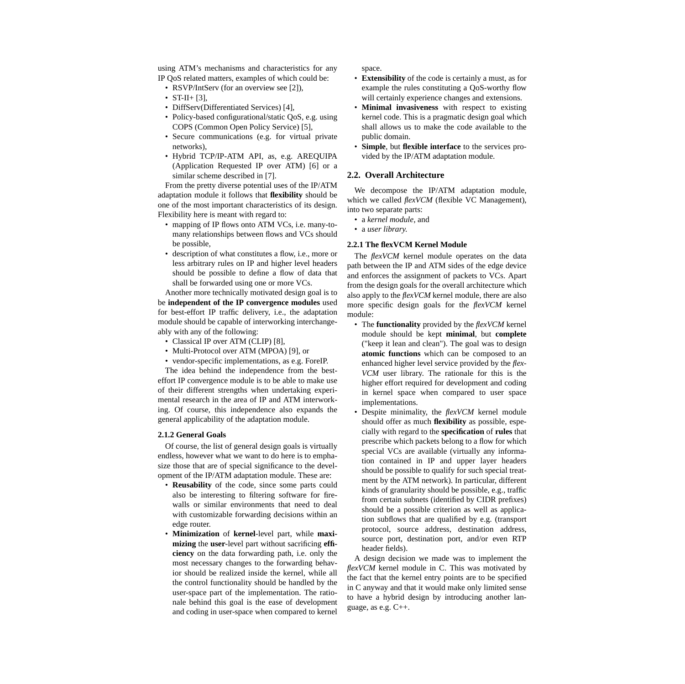using ATM's mechanisms and characteristics for any IP QoS related matters, examples of which could be:

- RSVP/IntServ (for an overview see [2]),
- $ST-II+[3]$ ,
- DiffServ(Differentiated Services) [4],
- Policy-based configurational/static QoS, e.g. using COPS (Common Open Policy Service) [5],
- Secure communications (e.g. for virtual private networks),
- Hybrid TCP/IP-ATM API, as, e.g. AREQUIPA (Application Requested IP over ATM) [6] or a similar scheme described in [7].

From the pretty diverse potential uses of the IP/ATM adaptation module it follows that **flexibility** should be one of the most important characteristics of its design. Flexibility here is meant with regard to:

- mapping of IP flows onto ATM VCs, i.e. many-tomany relationships between flows and VCs should be possible,
- description of what constitutes a flow, i.e., more or less arbitrary rules on IP and higher level headers should be possible to define a flow of data that shall be forwarded using one or more VCs.

Another more technically motivated design goal is to be **independent of the IP convergence modules** used for best-effort IP traffic delivery, i.e., the adaptation module should be capable of interworking interchangeably with any of the following:

- Classical IP over ATM (CLIP) [8],
- Multi-Protocol over ATM (MPOA) [9], or
- vendor-specific implementations, as e.g. ForeIP.

The idea behind the independence from the besteffort IP convergence module is to be able to make use of their different strengths when undertaking experimental research in the area of IP and ATM interworking. Of course, this independence also expands the general applicability of the adaptation module.

### **2.1.2 General Goals**

Of course, the list of general design goals is virtually endless, however what we want to do here is to emphasize those that are of special significance to the development of the IP/ATM adaptation module. These are:

- **Reusability** of the code, since some parts could also be interesting to filtering software for firewalls or similar environments that need to deal with customizable forwarding decisions within an edge router.
- **Minimization** of **kernel**-level part, while **maximizing** the **user**-level part without sacrificing **efficiency** on the data forwarding path, i.e. only the most necessary changes to the forwarding behavior should be realized inside the kernel, while all the control functionality should be handled by the user-space part of the implementation. The rationale behind this goal is the ease of development and coding in user-space when compared to kernel

space.

- **Extensibility** of the code is certainly a must, as for example the rules constituting a QoS-worthy flow will certainly experience changes and extensions.
- **Minimal invasiveness** with respect to existing kernel code. This is a pragmatic design goal which shall allows us to make the code available to the public domain.
- **Simple**, but **flexible interface** to the services provided by the IP/ATM adaptation module.

### **2.2. Overall Architecture**

We decompose the IP/ATM adaptation module, which we called *flexVCM* (flexible VC Management), into two separate parts:

- a *kernel module*, and
- a *user library*.

## **2.2.1 The flexVCM Kernel Module**

The *flexVCM* kernel module operates on the data path between the IP and ATM sides of the edge device and enforces the assignment of packets to VCs. Apart from the design goals for the overall architecture which also apply to the *flexVCM* kernel module, there are also more specific design goals for the *flexVCM* kernel module:

- The **functionality** provided by the *flexVCM* kernel module should be kept **minimal**, but **complete** ("keep it lean and clean"). The goal was to design **atomic functions** which can be composed to an enhanced higher level service provided by the *flex-VCM* user library. The rationale for this is the higher effort required for development and coding in kernel space when compared to user space implementations.
- Despite minimality, the *flexVCM* kernel module should offer as much **flexibility** as possible, especially with regard to the **specification** of **rules** that prescribe which packets belong to a flow for which special VCs are available (virtually any information contained in IP and upper layer headers should be possible to qualify for such special treatment by the ATM network). In particular, different kinds of granularity should be possible, e.g., traffic from certain subnets (identified by CIDR prefixes) should be a possible criterion as well as application subflows that are qualified by e.g. (transport protocol, source address, destination address, source port, destination port, and/or even RTP header fields).

A design decision we made was to implement the *flexVCM* kernel module in C. This was motivated by the fact that the kernel entry points are to be specified in C anyway and that it would make only limited sense to have a hybrid design by introducing another language, as e.g. C++.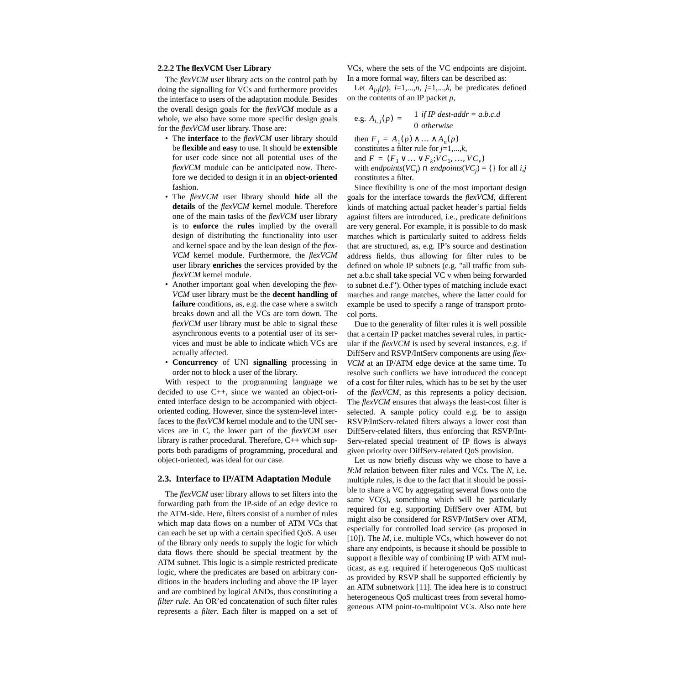### **2.2.2 The flexVCM User Library**

The *flexVCM* user library acts on the control path by doing the signalling for VCs and furthermore provides the interface to users of the adaptation module. Besides the overall design goals for the *flexVCM* module as a whole, we also have some more specific design goals for the *flexVCM* user library. Those are:

- The **interface** to the *flexVCM* user library should be **flexible** and **easy** to use. It should be **extensible** for user code since not all potential uses of the *flexVCM* module can be anticipated now. Therefore we decided to design it in an **object-oriented** fashion.
- The *flexVCM* user library should **hide** all the **details** of the *flexVCM* kernel module. Therefore one of the main tasks of the *flexVCM* user library is to **enforce** the **rules** implied by the overall design of distributing the functionality into user and kernel space and by the lean design of the *flex-VCM* kernel module. Furthermore, the *flexVCM* user library **enriches** the services provided by the *flexVCM* kernel module.
- Another important goal when developing the *flex-VCM* user library must be the **decent handling of failure** conditions, as, e.g. the case where a switch breaks down and all the VCs are torn down. The *flexVCM* user library must be able to signal these asynchronous events to a potential user of its services and must be able to indicate which VCs are actually affected.
- **Concurrency** of UNI **signalling** processing in order not to block a user of the library.

With respect to the programming language we decided to use C++, since we wanted an object-oriented interface design to be accompanied with objectoriented coding. However, since the system-level interfaces to the *flexVCM* kernel module and to the UNI services are in C, the lower part of the *flexVCM* user library is rather procedural. Therefore, C++ which supports both paradigms of programming, procedural and object-oriented, was ideal for our case.

# **2.3. Interface to IP/ATM Adaptation Module**

The *flexVCM* user library allows to set filters into the forwarding path from the IP-side of an edge device to the ATM-side. Here, filters consist of a number of rules which map data flows on a number of ATM VCs that can each be set up with a certain specified QoS. A user of the library only needs to supply the logic for which data flows there should be special treatment by the ATM subnet. This logic is a simple restricted predicate logic, where the predicates are based on arbitrary conditions in the headers including and above the IP layer and are combined by logical ANDs, thus constituting a *filter rule*. An OR'ed concatenation of such filter rules represents a *filter*. Each filter is mapped on a set of VCs, where the sets of the VC endpoints are disjoint. In a more formal way, filters can be described as:

Let  $A_{i,j}(p)$ ,  $i=1,...,n$ ,  $j=1,...,k$ , be predicates defined on the contents of an IP packet *p*,

e.g. 
$$
A_{i,j}(p) = \begin{cases} 1 & \text{if IP dest-addr} = a.b.c.d \\ 0 & \text{otherwise} \end{cases}
$$

then  $F_j = A_1(p) \wedge ... \wedge A_n(p)$ constitutes a filter rule for *j*=1,...,*k*, and  $F = (F_1 \vee ... \vee F_k; VC_1, ..., VC_v)$  $with\ endpoints(VC_i)$  ∩  $endpoints(VC_j) = \{\}$  for all *i*,*j* constitutes a filter.

Since flexibility is one of the most important design goals for the interface towards the *flexVCM*, different kinds of matching actual packet header's partial fields against filters are introduced, i.e., predicate definitions are very general. For example, it is possible to do mask matches which is particularly suited to address fields that are structured, as, e.g. IP's source and destination address fields, thus allowing for filter rules to be defined on whole IP subnets (e.g. "all traffic from subnet a.b.c shall take special VC v when being forwarded to subnet d.e.f"). Other types of matching include exact matches and range matches, where the latter could for example be used to specify a range of transport protocol ports.

Due to the generality of filter rules it is well possible that a certain IP packet matches several rules, in particular if the *flexVCM* is used by several instances, e.g. if DiffServ and RSVP/IntServ components are using *flex-VCM* at an IP/ATM edge device at the same time. To resolve such conflicts we have introduced the concept of a cost for filter rules, which has to be set by the user of the *flexVCM*, as this represents a policy decision. The *flexVCM* ensures that always the least-cost filter is selected. A sample policy could e.g. be to assign RSVP/IntServ-related filters always a lower cost than DiffServ-related filters, thus enforcing that RSVP/Int-Serv-related special treatment of IP flows is always given priority over DiffServ-related QoS provision.

Let us now briefly discuss why we chose to have a *N*:*M* relation between filter rules and VCs. The *N*, i.e. multiple rules, is due to the fact that it should be possible to share a VC by aggregating several flows onto the same VC(s), something which will be particularly required for e.g. supporting DiffServ over ATM, but might also be considered for RSVP/IntServ over ATM, especially for controlled load service (as proposed in [10]). The *M*, i.e. multiple VCs, which however do not share any endpoints, is because it should be possible to support a flexible way of combining IP with ATM multicast, as e.g. required if heterogeneous QoS multicast as provided by RSVP shall be supported efficiently by an ATM subnetwork [11]. The idea here is to construct heterogeneous QoS multicast trees from several homogeneous ATM point-to-multipoint VCs. Also note here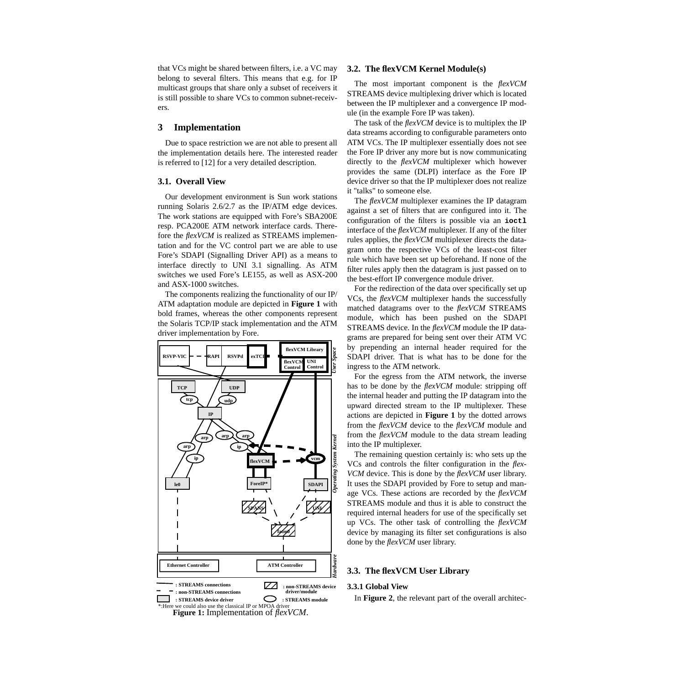that VCs might be shared between filters, i.e. a VC may belong to several filters. This means that e.g. for IP multicast groups that share only a subset of receivers it is still possible to share VCs to common subnet-receivers.

### **3 Implementation**

Due to space restriction we are not able to present all the implementation details here. The interested reader is referred to [12] for a very detailed description.

### **3.1. Overall View**

Our development environment is Sun work stations running Solaris 2.6/2.7 as the IP/ATM edge devices. The work stations are equipped with Fore's SBA200E resp. PCA200E ATM network interface cards. Therefore the *flexVCM* is realized as STREAMS implementation and for the VC control part we are able to use Fore's SDAPI (Signalling Driver API) as a means to interface directly to UNI 3.1 signalling. As ATM switches we used Fore's LE155, as well as ASX-200 and ASX-1000 switches.

The components realizing the functionality of our IP/ ATM adaptation module are depicted in **Figure 1** with bold frames, whereas the other components represent the Solaris TCP/IP stack implementation and the ATM driver implementation by Fore.



### **3.2. The flexVCM Kernel Module(s)**

The most important component is the *flexVCM* STREAMS device multiplexing driver which is located between the IP multiplexer and a convergence IP module (in the example Fore IP was taken).

The task of the *flexVCM* device is to multiplex the IP data streams according to configurable parameters onto ATM VCs. The IP multiplexer essentially does not see the Fore IP driver any more but is now communicating directly to the *flexVCM* multiplexer which however provides the same (DLPI) interface as the Fore IP device driver so that the IP multiplexer does not realize it "talks" to someone else.

The *flexVCM* multiplexer examines the IP datagram against a set of filters that are configured into it. The configuration of the filters is possible via an **ioctl** interface of the *flexVCM* multiplexer. If any of the filter rules applies, the *flexVCM* multiplexer directs the datagram onto the respective VCs of the least-cost filter rule which have been set up beforehand. If none of the filter rules apply then the datagram is just passed on to the best-effort IP convergence module driver.

For the redirection of the data over specifically set up VCs, the *flexVCM* multiplexer hands the successfully matched datagrams over to the *flexVCM* STREAMS module, which has been pushed on the SDAPI STREAMS device. In the *flexVCM* module the IP datagrams are prepared for being sent over their ATM VC by prepending an internal header required for the SDAPI driver. That is what has to be done for the ingress to the ATM network.

For the egress from the ATM network, the inverse has to be done by the *flexVCM* module: stripping off the internal header and putting the IP datagram into the upward directed stream to the IP multiplexer. These actions are depicted in **Figure 1** by the dotted arrows from the *flexVCM* device to the *flexVCM* module and from the *flexVCM* module to the data stream leading into the IP multiplexer.

The remaining question certainly is: who sets up the VCs and controls the filter configuration in the *flex-VCM* device. This is done by the *flexVCM* user library. It uses the SDAPI provided by Fore to setup and manage VCs. These actions are recorded by the *flexVCM* STREAMS module and thus it is able to construct the required internal headers for use of the specifically set up VCs. The other task of controlling the *flexVCM* device by managing its filter set configurations is also done by the *flexVCM* user library.

# **3.3. The flexVCM User Library**

### **3.3.1 Global View**

In **[Figure 2](#page-4-0)**, the relevant part of the overall architec-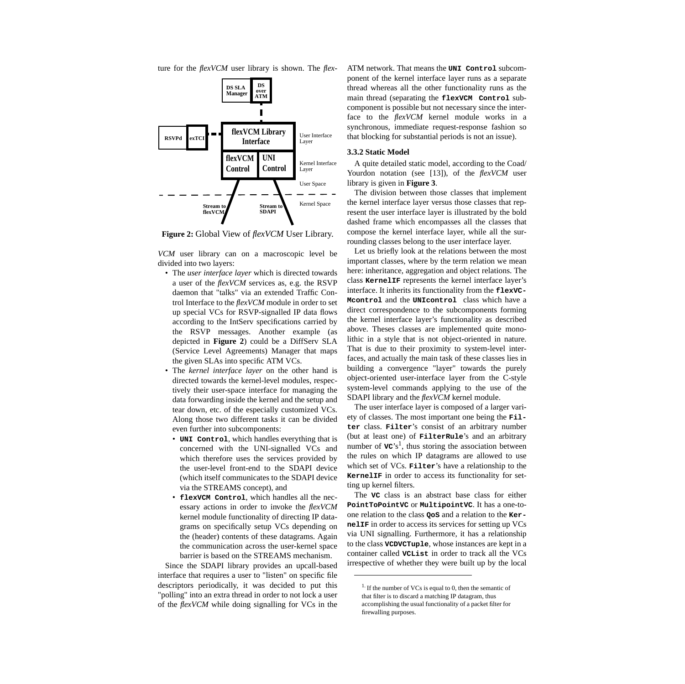<span id="page-4-0"></span>ture for the *flexVCM* user library is shown. The *flex-*



**Figure 2:** Global View of *flexVCM* User Library.

*VCM* user library can on a macroscopic level be divided into two layers:

- The *user interface layer* which is directed towards a user of the *flexVCM* services as, e.g. the RSVP daemon that "talks" via an extended Traffic Control Interface to the *flexVCM* module in order to set up special VCs for RSVP-signalled IP data flows according to the IntServ specifications carried by the RSVP messages. Another example (as depicted in **Figure 2**) could be a DiffServ SLA (Service Level Agreements) Manager that maps the given SLAs into specific ATM VCs.
- The *kernel interface layer* on the other hand is directed towards the kernel-level modules, respectively their user-space interface for managing the data forwarding inside the kernel and the setup and tear down, etc. of the especially customized VCs. Along those two different tasks it can be divided even further into subcomponents:
	- **UNI Control**, which handles everything that is concerned with the UNI-signalled VCs and which therefore uses the services provided by the user-level front-end to the SDAPI device (which itself communicates to the SDAPI device via the STREAMS concept), and
	- **flexVCM Control**, which handles all the necessary actions in order to invoke the *flexVCM* kernel module functionality of directing IP datagrams on specifically setup VCs depending on the (header) contents of these datagrams. Again the communication across the user-kernel space barrier is based on the STREAMS mechanism.

Since the SDAPI library provides an upcall-based interface that requires a user to "listen" on specific file descriptors periodically, it was decided to put this "polling" into an extra thread in order to not lock a user of the *flexVCM* while doing signalling for VCs in the ATM network. That means the **UNI Control** subcomponent of the kernel interface layer runs as a separate thread whereas all the other functionality runs as the main thread (separating the **flexVCM Control** subcomponent is possible but not necessary since the interface to the *flexVCM* kernel module works in a synchronous, immediate request-response fashion so that blocking for substantial periods is not an issue).

### **3.3.2 Static Model**

A quite detailed static model, according to the Coad/ Yourdon notation (see [13]), of the *flexVCM* user library is given in **[Figure 3](#page-5-0)**.

The division between those classes that implement the kernel interface layer versus those classes that represent the user interface layer is illustrated by the bold dashed frame which encompasses all the classes that compose the kernel interface layer, while all the surrounding classes belong to the user interface layer.

Let us briefly look at the relations between the most important classes, where by the term relation we mean here: inheritance, aggregation and object relations. The class **KernelIF** represents the kernel interface layer's interface. It inherits its functionality from the **flexVC-Mcontrol** and the **UNIcontrol** class which have a direct correspondence to the subcomponents forming the kernel interface layer's functionality as described above. Theses classes are implemented quite monolithic in a style that is not object-oriented in nature. That is due to their proximity to system-level interfaces, and actually the main task of these classes lies in building a convergence "layer" towards the purely object-oriented user-interface layer from the C-style system-level commands applying to the use of the SDAPI library and the *flexVCM* kernel module.

The user interface layer is composed of a larger variety of classes. The most important one being the **Filter** class. **Filter**'s consist of an arbitrary number (but at least one) of **FilterRule**'s and an arbitrary number of  $VC's<sup>1</sup>$ , thus storing the association between the rules on which IP datagrams are allowed to use which set of VCs. **Filter**'s have a relationship to the **KernelIF** in order to access its functionality for setting up kernel filters.

The **VC** class is an abstract base class for either **PointToPointVC** or **MultipointVC**. It has a one-toone relation to the class **QoS** and a relation to the **KernelIF** in order to access its services for setting up VCs via UNI signalling. Furthermore, it has a relationship to the class **VCDVCTuple**, whose instances are kept in a container called **VCList** in order to track all the VCs irrespective of whether they were built up by the local

 $<sup>1</sup>$ . If the number of VCs is equal to 0, then the semantic of</sup> that filter is to discard a matching IP datagram, thus accomplishing the usual functionality of a packet filter for firewalling purposes.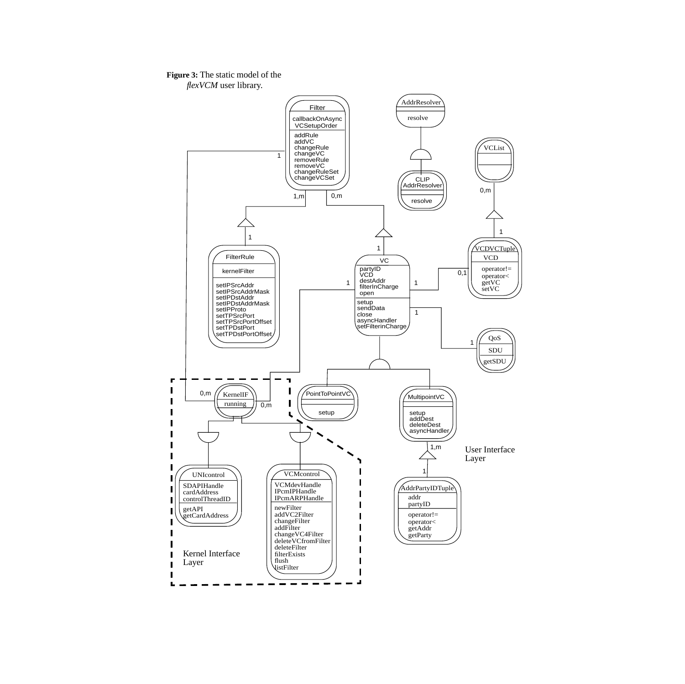# <span id="page-5-0"></span>**Figure 3:** The static model of the



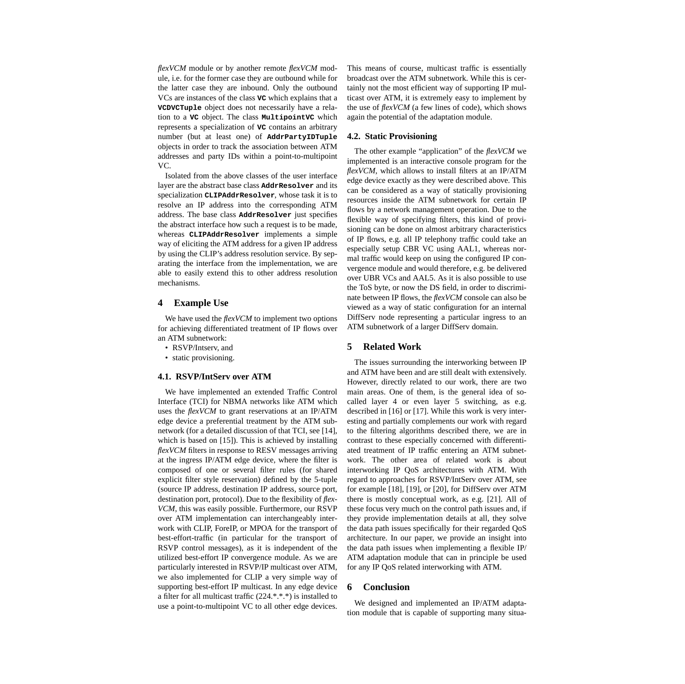*flexVCM* module or by another remote *flexVCM* module, i.e. for the former case they are outbound while for the latter case they are inbound. Only the outbound VCs are instances of the class **VC** which explains that a **VCDVCTuple** object does not necessarily have a relation to a **VC** object. The class **MultipointVC** which represents a specialization of **VC** contains an arbitrary number (but at least one) of **AddrPartyIDTuple** objects in order to track the association between ATM addresses and party IDs within a point-to-multipoint VC.

Isolated from the above classes of the user interface layer are the abstract base class **AddrResolver** and its specialization **CLIPAddrResolver**, whose task it is to resolve an IP address into the corresponding ATM address. The base class **AddrResolver** just specifies the abstract interface how such a request is to be made, whereas **CLIPAddrResolver** implements a simple way of eliciting the ATM address for a given IP address by using the CLIP's address resolution service. By separating the interface from the implementation, we are able to easily extend this to other address resolution mechanisms.

# **4 Example Use**

We have used the *flexVCM* to implement two options for achieving differentiated treatment of IP flows over an ATM subnetwork:

- RSVP/Intserv, and
- static provisioning.

### **4.1. RSVP/IntServ over ATM**

We have implemented an extended Traffic Control Interface (TCI) for NBMA networks like ATM which uses the *flexVCM* to grant reservations at an IP/ATM edge device a preferential treatment by the ATM subnetwork (for a detailed discussion of that TCI, see [14], which is based on [15]). This is achieved by installing *flexVCM* filters in response to RESV messages arriving at the ingress IP/ATM edge device, where the filter is composed of one or several filter rules (for shared explicit filter style reservation) defined by the 5-tuple (source IP address, destination IP address, source port, destination port, protocol). Due to the flexibility of *flex-VCM*, this was easily possible. Furthermore, our RSVP over ATM implementation can interchangeably interwork with CLIP, ForeIP, or MPOA for the transport of best-effort-traffic (in particular for the transport of RSVP control messages), as it is independent of the utilized best-effort IP convergence module. As we are particularly interested in RSVP/IP multicast over ATM, we also implemented for CLIP a very simple way of supporting best-effort IP multicast. In any edge device a filter for all multicast traffic (224.\*.\*.\*) is installed to use a point-to-multipoint VC to all other edge devices. This means of course, multicast traffic is essentially broadcast over the ATM subnetwork. While this is certainly not the most efficient way of supporting IP multicast over ATM, it is extremely easy to implement by the use of *flexVCM* (a few lines of code), which shows again the potential of the adaptation module.

### **4.2. Static Provisioning**

The other example "application" of the *flexVCM* we implemented is an interactive console program for the *flexVCM*, which allows to install filters at an IP/ATM edge device exactly as they were described above. This can be considered as a way of statically provisioning resources inside the ATM subnetwork for certain IP flows by a network management operation. Due to the flexible way of specifying filters, this kind of provisioning can be done on almost arbitrary characteristics of IP flows, e.g. all IP telephony traffic could take an especially setup CBR VC using AAL1, whereas normal traffic would keep on using the configured IP convergence module and would therefore, e.g. be delivered over UBR VCs and AAL5. As it is also possible to use the ToS byte, or now the DS field, in order to discriminate between IP flows, the *flexVCM* console can also be viewed as a way of static configuration for an internal DiffServ node representing a particular ingress to an ATM subnetwork of a larger DiffServ domain.

### **5 Related Work**

The issues surrounding the interworking between IP and ATM have been and are still dealt with extensively. However, directly related to our work, there are two main areas. One of them, is the general idea of socalled layer 4 or even layer 5 switching, as e.g. described in [16] or [17]. While this work is very interesting and partially complements our work with regard to the filtering algorithms described there, we are in contrast to these especially concerned with differentiated treatment of IP traffic entering an ATM subnetwork. The other area of related work is about interworking IP QoS architectures with ATM. With regard to approaches for RSVP/IntServ over ATM, see for example [18], [19], or [20], for DiffServ over ATM there is mostly conceptual work, as e.g. [21]. All of these focus very much on the control path issues and, if they provide implementation details at all, they solve the data path issues specifically for their regarded QoS architecture. In our paper, we provide an insight into the data path issues when implementing a flexible IP/ ATM adaptation module that can in principle be used for any IP QoS related interworking with ATM.

# **6 Conclusion**

We designed and implemented an IP/ATM adaptation module that is capable of supporting many situa